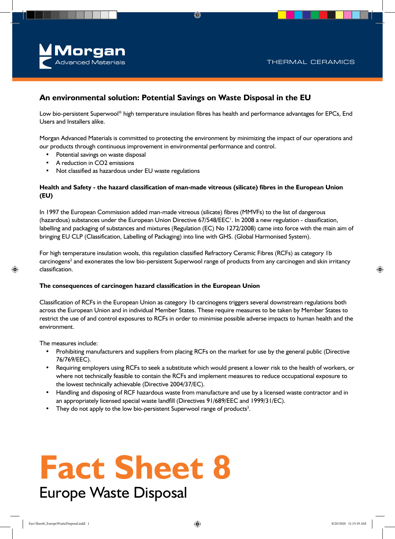

#### **An environmental solution: Potential Savings on Waste Disposal in the EU**

Low bio-persistent Superwool® high temperature insulation fibres has health and performance advantages for EPCs, End Users and Installers alike.

Morgan Advanced Materials is committed to protecting the environment by minimizing the impact of our operations and our products through continuous improvement in environmental performance and control.

- Potential savings on waste disposal
- A reduction in CO2 emissions
- Not classified as hazardous under EU waste regulations

#### **Health and Safety - the hazard classification of man-made vitreous (silicate) fibres in the European Union (EU)**

In 1997 the European Commission added man-made vitreous (silicate) fibres (MMVFs) to the list of dangerous (hazardous) substances under the European Union Directive 67/548/EEC<sup>1</sup>. In 2008 a new regulation - classification, labelling and packaging of substances and mixtures (Regulation (EC) No 1272/2008) came into force with the main aim of bringing EU CLP (Classification, Labelling of Packaging) into line with GHS. (Global Harmonised System).

For high temperature insulation wools, this regulation classified Refractory Ceramic Fibres (RCFs) as category 1b carcinogens<sup>2</sup> and exonerates the low bio-persistent Superwool range of products from any carcinogen and skin irritancy classification.

#### **The consequences of carcinogen hazard classification in the European Union**

Classification of RCFs in the European Union as category 1b carcinogens triggers several downstream regulations both across the European Union and in individual Member States. These require measures to be taken by Member States to restrict the use of and control exposures to RCFs in order to minimise possible adverse impacts to human health and the environment.

The measures include:

- Prohibiting manufacturers and suppliers from placing RCFs on the market for use by the general public (Directive 76/769/EEC).
- Requiring employers using RCFs to seek a substitute which would present a lower risk to the health of workers, or where not technically feasible to contain the RCFs and implement measures to reduce occupational exposure to the lowest technically achievable (Directive 2004/37/EC).
- Handling and disposing of RCF hazardous waste from manufacture and use by a licensed waste contractor and in an appropriately licensed special waste landfill (Directives 91/689/EEC and 1999/31/EC).
- They do not apply to the low bio-persistent Superwool range of products<sup>3</sup>.

# **Fact Sheet 8**

### Europe Waste Disposal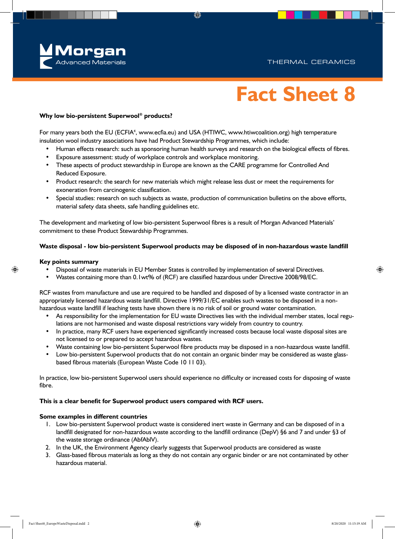

## **Fact Sheet 8**

#### **Why low bio-persistent Superwool® products?**

For many years both the EU (ECFIA<sup>4</sup>, www.ecfia.eu) and USA (HTIWC, www.htiwcoalition.org) high temperature insulation wool industry associations have had Product Stewardship Programmes, which include:

- Human effects research: such as sponsoring human health surveys and research on the biological effects of fibres.
- Exposure assessment: study of workplace controls and workplace monitoring.
- These aspects of product stewardship in Europe are known as the CARE programme for Controlled And Reduced Exposure.
- Product research: the search for new materials which might release less dust or meet the requirements for exoneration from carcinogenic classification.
- Special studies: research on such subjects as waste, production of communication bulletins on the above efforts, material safety data sheets, safe handling guidelines etc.

The development and marketing of low bio-persistent Superwool fibres is a result of Morgan Advanced Materials' commitment to these Product Stewardship Programmes.

#### **Waste disposal - low bio-persistent Superwool products may be disposed of in non-hazardous waste landfill**

#### **Key points summary**

- Disposal of waste materials in EU Member States is controlled by implementation of several Directives.
- Wastes containing more than 0.1wt% of (RCF) are classified hazardous under Directive 2008/98/EC.

RCF wastes from manufacture and use are required to be handled and disposed of by a licensed waste contractor in an appropriately licensed hazardous waste landfill. Directive 1999/31/EC enables such wastes to be disposed in a nonhazardous waste landfill if leaching tests have shown there is no risk of soil or ground water contamination.

- As responsibility for the implementation for EU waste Directives lies with the individual member states, local regulations are not harmonised and waste disposal restrictions vary widely from country to country.
- In practice, many RCF users have experienced significantly increased costs because local waste disposal sites are not licensed to or prepared to accept hazardous wastes.
- Waste containing low bio-persistent Superwool fibre products may be disposed in a non-hazardous waste landfill.
- Low bio-persistent Superwool products that do not contain an organic binder may be considered as waste glassbased fibrous materials (European Waste Code 10 11 03).

In practice, low bio-persistent Superwool users should experience no difficulty or increased costs for disposing of waste fibre.

#### **This is a clear benefit for Superwool product users compared with RCF users.**

#### **Some examples in different countries**

- 1. Low bio-persistent Superwool product waste is considered inert waste in Germany and can be disposed of in a landfill designated for non-hazardous waste according to the landfill ordinance (DepV) §6 and 7 and under §3 of the waste storage ordinance (AbfAblV).
- 2. In the UK, the Environment Agency clearly suggests that Superwool products are considered as waste
- 3. Glass-based fibrous materials as long as they do not contain any organic binder or are not contaminated by other hazardous material.